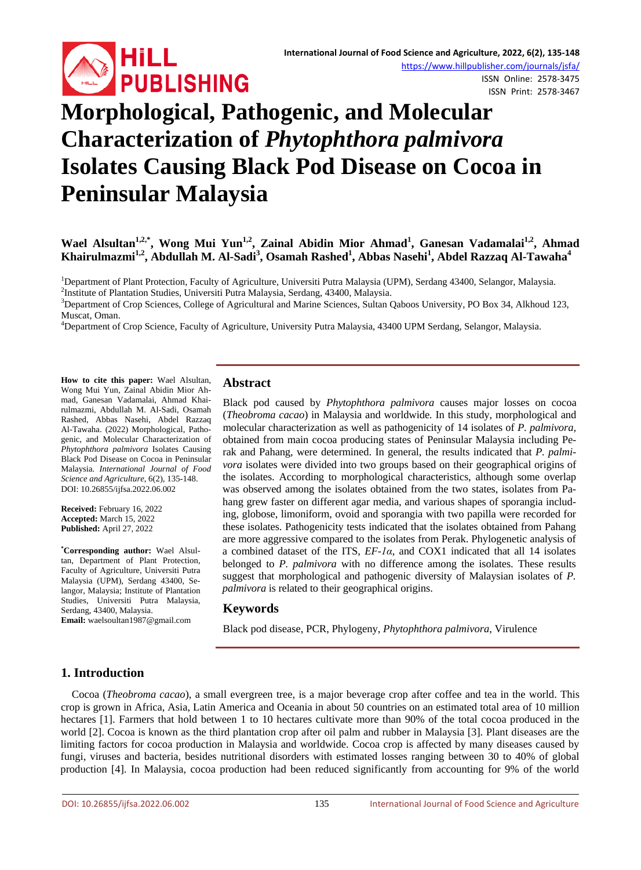

ISSN Online: 2578-3475 ISSN Print: 2578-3467

# **Morphological, Pathogenic, and Molecular Characterization of** *Phytophthora palmivora* **Isolates Causing Black Pod Disease on Cocoa in Peninsular Malaysia**

# **Wael Alsultan1,2,\*, Wong Mui Yun1,2, Zainal Abidin Mior Ahmad<sup>1</sup> , Ganesan Vadamalai1,2, Ahmad Khairulmazmi1,2, Abdullah M. Al-Sadi<sup>3</sup> , Osamah Rashed<sup>1</sup> , Abbas Nasehi<sup>1</sup> , Abdel Razzaq Al-Tawaha<sup>4</sup>**

<sup>1</sup>Department of Plant Protection, Faculty of Agriculture, Universiti Putra Malaysia (UPM), Serdang 43400, Selangor, Malaysia.<br><sup>2</sup>Institute of Plantation Studies, Universiti Putra Malaysia, Serdang 43400, Malaysia. <sup>2</sup> Institute of Plantation Studies, Universiti Putra Malaysia, Serdang, 43400, Malaysia.

 $3$ Department of Crop Sciences, College of Agricultural and Marine Sciences, Sultan Qaboos University, PO Box 34, Alkhoud 123, Muscat, Oman. <sup>4</sup>

<sup>4</sup>Department of Crop Science, Faculty of Agriculture, University Putra Malaysia, 43400 UPM Serdang, Selangor, Malaysia.

**How to cite this paper:** Wael Alsultan, Wong Mui Yun, Zainal Abidin Mior Ahmad, Ganesan Vadamalai, Ahmad Khairulmazmi, Abdullah M. Al-Sadi, Osamah Rashed, Abbas Nasehi, Abdel Razzaq Al-Tawaha. (2022) Morphological, Pathogenic, and Molecular Characterization of *Phytophthora palmivora* Isolates Causing Black Pod Disease on Cocoa in Peninsular Malaysia. *International Journal of Food Science and Agriculture*, 6(2), 135-148. DOI: 10.26855/ijfsa.2022.06.002

**Received:** February 16, 2022 **Accepted:** March 15, 2022 **Published:** April 27, 2022

**\* Corresponding author:** Wael Alsultan, Department of Plant Protection, Faculty of Agriculture, Universiti Putra Malaysia (UPM), Serdang 43400, Selangor, Malaysia; Institute of Plantation Studies, Universiti Putra Malaysia, Serdang, 43400, Malaysia. **Email:** waelsoultan1987@gmail.com

## **Abstract**

Black pod caused by *Phytophthora palmivora* causes major losses on cocoa (*Theobroma cacao*) in Malaysia and worldwide*.* In this study, morphological and molecular characterization as well as pathogenicity of 14 isolates of *P. palmivora,* obtained from main cocoa producing states of Peninsular Malaysia including Perak and Pahang, were determined. In general, the results indicated that *P. palmivora* isolates were divided into two groups based on their geographical origins of the isolates. According to morphological characteristics, although some overlap was observed among the isolates obtained from the two states, isolates from Pahang grew faster on different agar media, and various shapes of sporangia including, globose, limoniform, ovoid and sporangia with two papilla were recorded for these isolates. Pathogenicity tests indicated that the isolates obtained from Pahang are more aggressive compared to the isolates from Perak. Phylogenetic analysis of a combined dataset of the ITS, *EF-1α*, and COX1 indicated that all 14 isolates belonged to *P. palmivora* with no difference among the isolates. These results suggest that morphological and pathogenic diversity of Malaysian isolates of *P. palmivora* is related to their geographical origins.

## **Keywords**

Black pod disease, PCR, Phylogeny, *Phytophthora palmivora*, Virulence

# **1. Introduction**

Cocoa (*Theobroma cacao*), a small evergreen tree, is a major beverage crop after coffee and tea in the world. This crop is grown in Africa, Asia, Latin America and Oceania in about 50 countries on an estimated total area of 10 million hectares [1]. Farmers that hold between 1 to 10 hectares cultivate more than 90% of the total cocoa produced in the world [2]. Cocoa is known as the third plantation crop after oil palm and rubber in Malaysia [3]. Plant diseases are the limiting factors for cocoa production in Malaysia and worldwide. Cocoa crop is affected by many diseases caused by fungi, viruses and bacteria, besides nutritional disorders with estimated losses ranging between 30 to 40% of global production [4]. In Malaysia, cocoa production had been reduced significantly from accounting for 9% of the world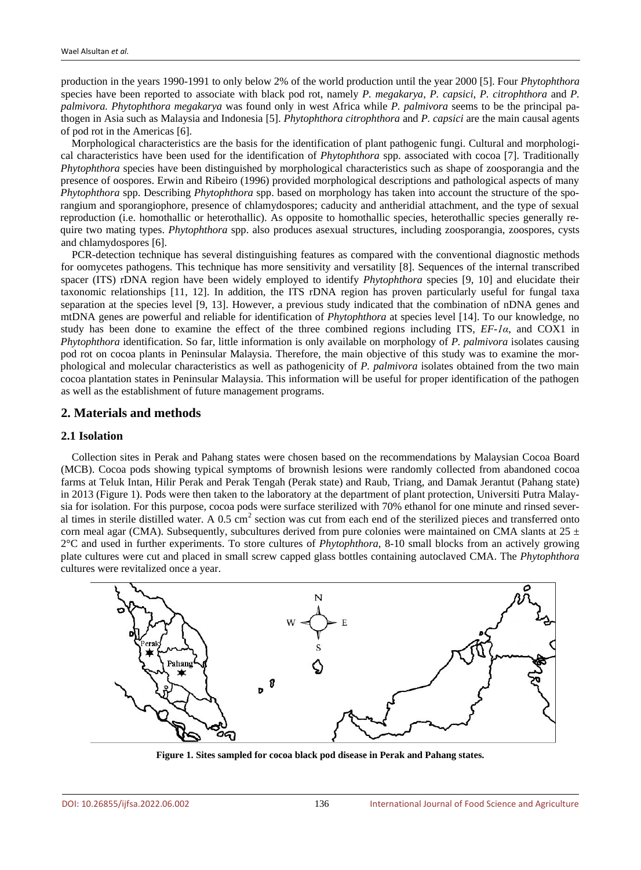production in the years 1990-1991 to only below 2% of the world production until the year 2000 [5]. Four *Phytophthora* species have been reported to associate with black pod rot, namely *P. megakarya, P. capsici, P. citrophthora* and *P. palmivora. Phytophthora megakarya* was found only in west Africa while *P. palmivora* seems to be the principal pathogen in Asia such as Malaysia and Indonesia [5]. *Phytophthora citrophthora* and *P. capsici* are the main causal agents of pod rot in the Americas [6].

Morphological characteristics are the basis for the identification of plant pathogenic fungi. Cultural and morphological characteristics have been used for the identification of *Phytophthora* spp. associated with cocoa [7]. Traditionally *Phytophthora* species have been distinguished by morphological characteristics such as shape of zoosporangia and the presence of oospores. Erwin and Ribeiro (1996) provided morphological descriptions and pathological aspects of many *Phytophthora* spp. Describing *Phytophthora* spp. based on morphology has taken into account the structure of the sporangium and sporangiophore, presence of chlamydospores; caducity and antheridial attachment, and the type of sexual reproduction (i.e. homothallic or heterothallic). As opposite to homothallic species, heterothallic species generally require two mating types. *Phytophthora* spp. also produces asexual structures, including zoosporangia, zoospores, cysts and chlamydospores [6].

PCR-detection technique has several distinguishing features as compared with the conventional diagnostic methods for oomycetes pathogens. This technique has more sensitivity and versatility [8]. Sequences of the internal transcribed spacer (ITS) rDNA region have been widely employed to identify *Phytophthora* species [9, 10] and elucidate their taxonomic relationships [11, 12]. In addition, the ITS rDNA region has proven particularly useful for fungal taxa separation at the species level [9, 13]. However, a previous study indicated that the combination of nDNA genes and mtDNA genes are powerful and reliable for identification of *Phytophthora* at species level [14]. To our knowledge, no study has been done to examine the effect of the three combined regions including ITS, *EF-1α*, and COX1 in *Phytophthora* identification. So far, little information is only available on morphology of *P. palmivora* isolates causing pod rot on cocoa plants in Peninsular Malaysia. Therefore, the main objective of this study was to examine the morphological and molecular characteristics as well as pathogenicity of *P. palmivora* isolates obtained from the two main cocoa plantation states in Peninsular Malaysia. This information will be useful for proper identification of the pathogen as well as the establishment of future management programs.

## **2. Materials and methods**

### **2.1 Isolation**

Collection sites in Perak and Pahang states were chosen based on the recommendations by Malaysian Cocoa Board (MCB). Cocoa pods showing typical symptoms of brownish lesions were randomly collected from abandoned cocoa farms at Teluk Intan, Hilir Perak and Perak Tengah (Perak state) and Raub, Triang, and Damak Jerantut (Pahang state) in 2013 (Figure 1). Pods were then taken to the laboratory at the department of plant protection, Universiti Putra Malaysia for isolation. For this purpose, cocoa pods were surface sterilized with 70% ethanol for one minute and rinsed several times in sterile distilled water. A  $0.5 \text{ cm}^2$  section was cut from each end of the sterilized pieces and transferred onto corn meal agar (CMA). Subsequently, subcultures derived from pure colonies were maintained on CMA slants at  $25 \pm$ 2°C and used in further experiments. To store cultures of *Phytophthora*, 8-10 small blocks from an actively growing plate cultures were cut and placed in small screw capped glass bottles containing autoclaved CMA. The *Phytophthora* cultures were revitalized once a year.



**Figure 1. Sites sampled for cocoa black pod disease in Perak and Pahang states.**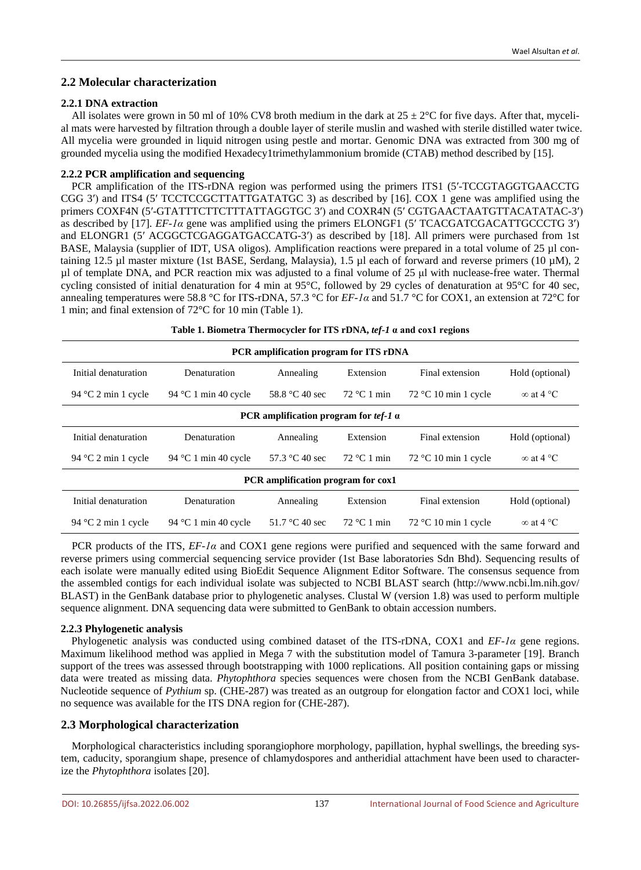## **2.2 Molecular characterization**

## **2.2.1 DNA extraction**

All isolates were grown in 50 ml of 10% CV8 broth medium in the dark at  $25 \pm 2^{\circ}$ C for five days. After that, mycelial mats were harvested by filtration through a double layer of sterile muslin and washed with sterile distilled water twice. All mycelia were grounded in liquid nitrogen using pestle and mortar. Genomic DNA was extracted from 300 mg of grounded mycelia using the modified Hexadecy1trimethylammonium bromide (CTAB) method described by [15].

## **2.2.2 PCR amplification and sequencing**

PCR amplification of the ITS-rDNA region was performed using the primers ITS1 (5′-TCCGTAGGTGAACCTG CGG 3′) and ITS4 (5′ TCCTCCGCTTATTGATATGC 3) as described by [16]. COX 1 gene was amplified using the primers COXF4N (5′-GTATTTCTTCTTTATTAGGTGC 3′) and COXR4N (5′ CGTGAACTAATGTTACATATAC-3′) as described by [17]. *EF-1α* gene was amplified using the primers ELONGF1 (5′ TCACGATCGACATTGCCCTG 3′) and ELONGR1 (5′ ACGGCTCGAGGATGACCATG-3′) as described by [18]. All primers were purchased from 1st BASE, Malaysia (supplier of IDT, USA oligos). Amplification reactions were prepared in a total volume of 25 µl containing 12.5 µl master mixture (1st BASE*,* Serdang, Malaysia), 1.5 µl each of forward and reverse primers (10 µM), 2 µl of template DNA, and PCR reaction mix was adjusted to a final volume of 25 μl with nuclease-free water. Thermal cycling consisted of initial denaturation for 4 min at 95°C, followed by 29 cycles of denaturation at 95°C for 40 sec, annealing temperatures were 58.8 °C for ITS-rDNA, 57.3 °C for *EF-1α* and 51.7 °C for COX1, an extension at 72°C for 1 min; and final extension of 72°C for 10 min (Table 1).

| Table 1. Biometra Thermocycler for ITS rDNA, tef-1 a and cox1 regions |                      |                                |                                        |                        |                  |  |  |
|-----------------------------------------------------------------------|----------------------|--------------------------------|----------------------------------------|------------------------|------------------|--|--|
| PCR amplification program for ITS rDNA                                |                      |                                |                                        |                        |                  |  |  |
| Initial denaturation                                                  | Denaturation         | Annealing                      | Extension                              | Final extension        | Hold (optional)  |  |  |
| 94 °C 1 min 40 cycle<br>94 $\degree$ C 2 min 1 cycle                  |                      | 58.8 °C 40 sec                 | $72 °C1$ min<br>$72 °C$ 10 min 1 cycle |                        | $\infty$ at 4 °C |  |  |
| PCR amplification program for $tef-1$ $\alpha$                        |                      |                                |                                        |                        |                  |  |  |
| Initial denaturation                                                  | Denaturation         | Annealing                      | Extension                              | Final extension        | Hold (optional)  |  |  |
| 94 °C 1 min 40 cycle<br>94 $\degree$ C 2 min 1 cycle                  |                      | 57.3 °C 40 sec<br>$72 °C1$ min |                                        | $72 °C$ 10 min 1 cycle | $\infty$ at 4 °C |  |  |
| PCR amplification program for cox1                                    |                      |                                |                                        |                        |                  |  |  |
| Initial denaturation                                                  | Denaturation         | Annealing                      | Extension                              | Final extension        | Hold (optional)  |  |  |
| 94 $\degree$ C 2 min 1 cycle                                          | 94 °C 1 min 40 cycle | 51.7 °C 40 sec                 | $72 °C1$ min                           | $72 °C$ 10 min 1 cycle | $\infty$ at 4 °C |  |  |

PCR products of the ITS, *EF-1α* and COX1 gene regions were purified and sequenced with the same forward and reverse primers using commercial sequencing service provider (1st Base laboratories Sdn Bhd). Sequencing results of each isolate were manually edited using BioEdit Sequence Alignment Editor Software. The consensus sequence from the assembled contigs for each individual isolate was subjected to NCBI BLAST search (http://www.ncbi.lm.nih.gov/ BLAST) in the GenBank database prior to phylogenetic analyses. Clustal W (version 1.8) was used to perform multiple sequence alignment. DNA sequencing data were submitted to GenBank to obtain accession numbers.

#### **2.2.3 Phylogenetic analysis**

Phylogenetic analysis was conducted using combined dataset of the ITS-rDNA, COX1 and *EF-1α* gene regions. Maximum likelihood method was applied in Mega 7 with the substitution model of Tamura 3-parameter [19]. Branch support of the trees was assessed through bootstrapping with 1000 replications. All position containing gaps or missing data were treated as missing data. *Phytophthora* species sequences were chosen from the NCBI GenBank database. Nucleotide sequence of *Pythium* sp. (CHE-287) was treated as an outgroup for elongation factor and COX1 loci, while no sequence was available for the ITS DNA region for (CHE-287).

## **2.3 Morphological characterization**

Morphological characteristics including sporangiophore morphology, papillation, hyphal swellings, the breeding system, caducity, sporangium shape, presence of chlamydospores and antheridial attachment have been used to characterize the *Phytophthora* isolates [20].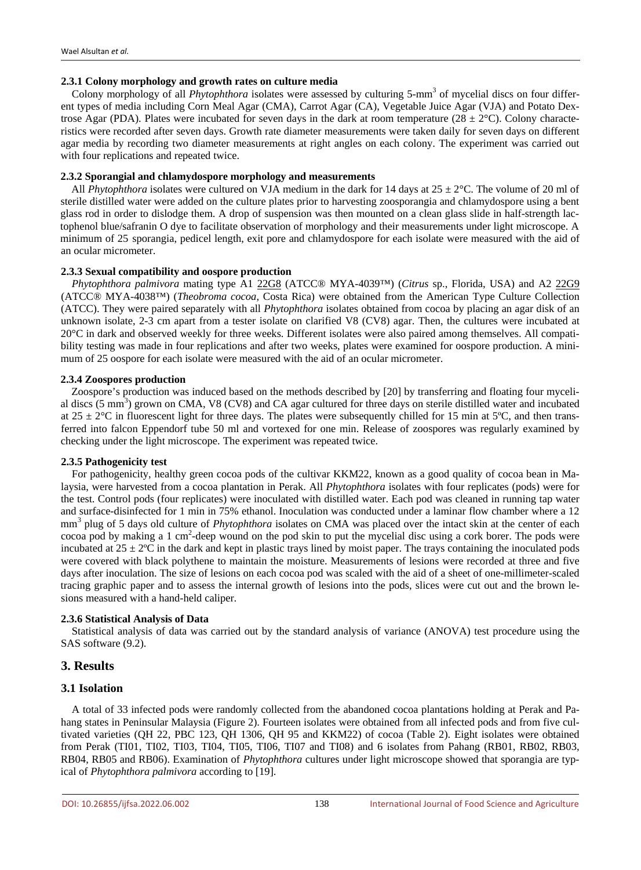## **2.3.1 Colony morphology and growth rates on culture media**

Colony morphology of all *Phytophthora* isolates were assessed by culturing 5-mm<sup>3</sup> of mycelial discs on four different types of media including Corn Meal Agar (CMA), Carrot Agar (CA), Vegetable Juice Agar (VJA) and Potato Dextrose Agar (PDA). Plates were incubated for seven days in the dark at room temperature (28  $\pm$  2°C). Colony characteristics were recorded after seven days. Growth rate diameter measurements were taken daily for seven days on different agar media by recording two diameter measurements at right angles on each colony. The experiment was carried out with four replications and repeated twice.

#### **2.3.2 Sporangial and chlamydospore morphology and measurements**

All *Phytophthora* isolates were cultured on VJA medium in the dark for 14 days at  $25 \pm 2^{\circ}$ C. The volume of 20 ml of sterile distilled water were added on the culture plates prior to harvesting zoosporangia and chlamydospore using a bent glass rod in order to dislodge them. A drop of suspension was then mounted on a clean glass slide in half-strength lactophenol blue/safranin O dye to facilitate observation of morphology and their measurements under light microscope. A minimum of 25 sporangia, pedicel length, exit pore and chlamydospore for each isolate were measured with the aid of an ocular micrometer.

#### **2.3.3 Sexual compatibility and oospore production**

*Phytophthora palmivora* mating type A1 22G8 (ATCC® MYA-4039™) (*Citrus* sp., Florida, USA) and A2 22G9 (ATCC® MYA-4038™) (*Theobroma cocoa*, Costa Rica) were obtained from the American Type Culture Collection (ATCC). They were paired separately with all *Phytophthora* isolates obtained from cocoa by placing an agar disk of an unknown isolate, 2-3 cm apart from a tester isolate on clarified V8 (CV8) agar. Then, the cultures were incubated at 20°C in dark and observed weekly for three weeks. Different isolates were also paired among themselves. All compatibility testing was made in four replications and after two weeks, plates were examined for oospore production. A minimum of 25 oospore for each isolate were measured with the aid of an ocular micrometer.

#### **2.3.4 Zoospores production**

Zoospore's production was induced based on the methods described by [20] by transferring and floating four mycelial discs  $(5 \text{ mm}^3)$  grown on CMA, V8 (CV8) and CA agar cultured for three days on sterile distilled water and incubated at  $25 \pm 2^{\circ}$ C in fluorescent light for three days. The plates were subsequently chilled for 15 min at 5<sup>o</sup>C, and then transferred into falcon Eppendorf tube 50 ml and vortexed for one min. Release of zoospores was regularly examined by checking under the light microscope. The experiment was repeated twice.

#### **2.3.5 Pathogenicity test**

For pathogenicity, healthy green cocoa pods of the cultivar KKM22, known as a good quality of cocoa bean in Malaysia, were harvested from a cocoa plantation in Perak. All *Phytophthora* isolates with four replicates (pods) were for the test. Control pods (four replicates) were inoculated with distilled water. Each pod was cleaned in running tap water and surface-disinfected for 1 min in 75% ethanol. Inoculation was conducted under a laminar flow chamber where a 12 mm<sup>3</sup> plug of 5 days old culture of *Phytophthora* isolates on CMA was placed over the intact skin at the center of each cocoa pod by making a 1 cm<sup>2</sup>-deep wound on the pod skin to put the mycelial disc using a cork borer. The pods were incubated at  $25 \pm 2^{\circ}$ C in the dark and kept in plastic trays lined by moist paper. The trays containing the inoculated pods were covered with black polythene to maintain the moisture. Measurements of lesions were recorded at three and five days after inoculation. The size of lesions on each cocoa pod was scaled with the aid of a sheet of one-millimeter-scaled tracing graphic paper and to assess the internal growth of lesions into the pods, slices were cut out and the brown lesions measured with a hand-held caliper.

#### **2.3.6 Statistical Analysis of Data**

Statistical analysis of data was carried out by the standard analysis of variance (ANOVA) test procedure using the SAS software (9.2).

## **3. Results**

## **3.1 Isolation**

A total of 33 infected pods were randomly collected from the abandoned cocoa plantations holding at Perak and Pahang states in Peninsular Malaysia (Figure 2). Fourteen isolates were obtained from all infected pods and from five cultivated varieties (QH 22, PBC 123, QH 1306, QH 95 and KKM22) of cocoa (Table 2). Eight isolates were obtained from Perak (TI01, TI02, TI03, TI04, TI05, TI06, TI07 and TI08) and 6 isolates from Pahang (RB01, RB02, RB03, RB04, RB05 and RB06). Examination of *Phytophthora* cultures under light microscope showed that sporangia are typical of *Phytophthora palmivora* according to [19].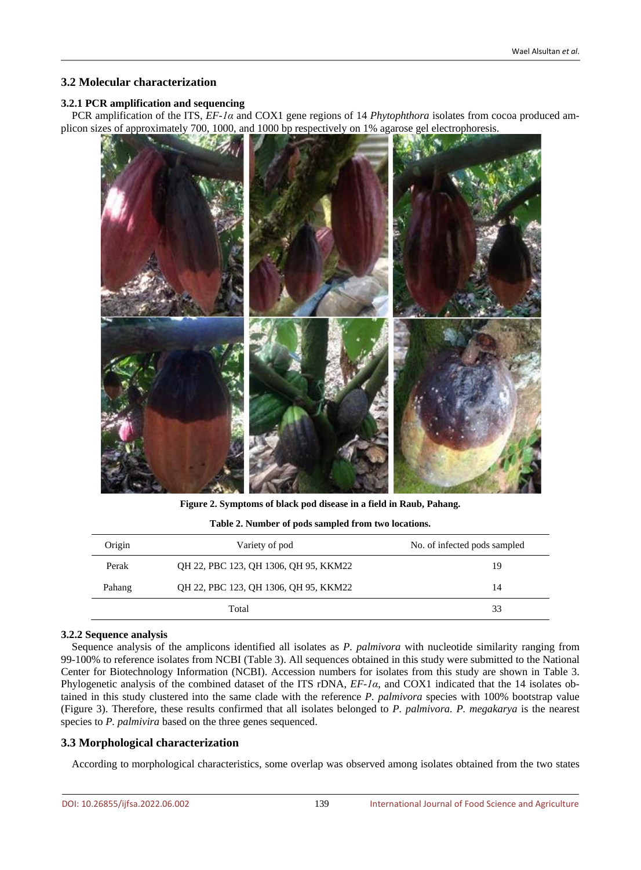## **3.2 Molecular characterization**

## **3.2.1 PCR amplification and sequencing**

PCR amplification of the ITS, *EF-1α* and COX1 gene regions of 14 *Phytophthora* isolates from cocoa produced amplicon sizes of approximately 700, 1000, and 1000 bp respectively on 1% agarose gel electrophoresis.



**Figure 2. Symptoms of black pod disease in a field in Raub, Pahang.**

| Table 2. Number of pods sampled from two locations. |  |
|-----------------------------------------------------|--|
|                                                     |  |

| Origin | Variety of pod                        | No. of infected pods sampled |
|--------|---------------------------------------|------------------------------|
| Perak  | QH 22, PBC 123, QH 1306, QH 95, KKM22 | 19                           |
| Pahang | QH 22, PBC 123, QH 1306, QH 95, KKM22 | 14                           |
|        | Total                                 | 33                           |

## **3.2.2 Sequence analysis**

Sequence analysis of the amplicons identified all isolates as *P. palmivora* with nucleotide similarity ranging from 99-100% to reference isolates from NCBI (Table 3). All sequences obtained in this study were submitted to the National Center for Biotechnology Information (NCBI). Accession numbers for isolates from this study are shown in Table 3. Phylogenetic analysis of the combined dataset of the ITS rDNA, *EF-1α*, and COX1 indicated that the 14 isolates obtained in this study clustered into the same clade with the reference *P. palmivora* species with 100% bootstrap value (Figure 3). Therefore, these results confirmed that all isolates belonged to *P. palmivora. P. megakarya* is the nearest species to *P. palmivira* based on the three genes sequenced.

## **3.3 Morphological characterization**

According to morphological characteristics, some overlap was observed among isolates obtained from the two states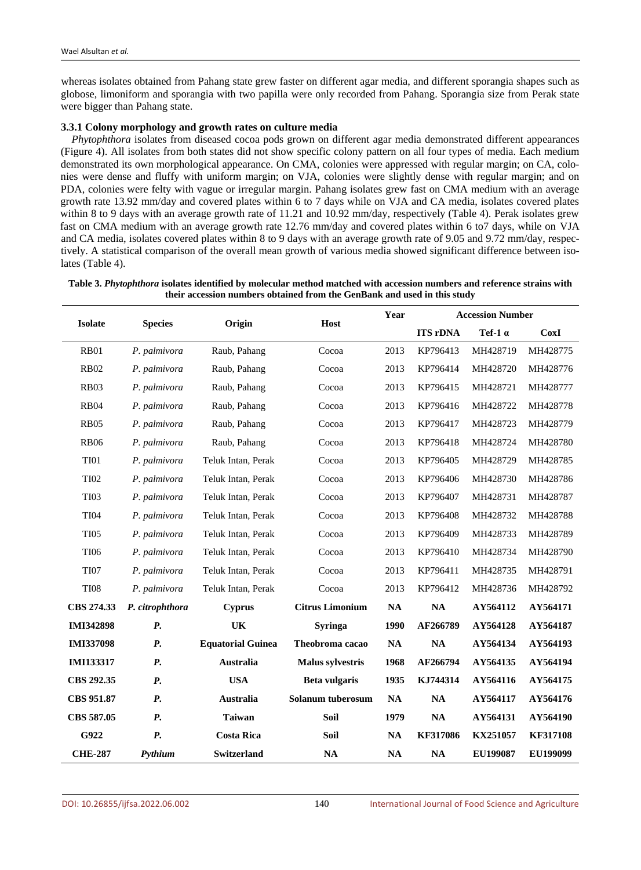whereas isolates obtained from Pahang state grew faster on different agar media, and different sporangia shapes such as globose, limoniform and sporangia with two papilla were only recorded from Pahang. Sporangia size from Perak state were bigger than Pahang state.

#### **3.3.1 Colony morphology and growth rates on culture media**

*Phytophthora* isolates from diseased cocoa pods grown on different agar media demonstrated different appearances (Figure 4). All isolates from both states did not show specific colony pattern on all four types of media. Each medium demonstrated its own morphological appearance. On CMA, colonies were appressed with regular margin; on CA, colonies were dense and fluffy with uniform margin; on VJA, colonies were slightly dense with regular margin; and on PDA, colonies were felty with vague or irregular margin. Pahang isolates grew fast on CMA medium with an average growth rate 13.92 mm/day and covered plates within 6 to 7 days while on VJA and CA media, isolates covered plates within 8 to 9 days with an average growth rate of 11.21 and 10.92 mm/day, respectively (Table 4). Perak isolates grew fast on CMA medium with an average growth rate 12.76 mm/day and covered plates within 6 to7 days, while on VJA and CA media, isolates covered plates within 8 to 9 days with an average growth rate of 9.05 and 9.72 mm/day, respectively. A statistical comparison of the overall mean growth of various media showed significant difference between isolates (Table 4).

|                   |                 |                          | Host                    |               | <b>Accession Number</b> |                 |                 |
|-------------------|-----------------|--------------------------|-------------------------|---------------|-------------------------|-----------------|-----------------|
| <b>Isolate</b>    | <b>Species</b>  | Origin                   |                         |               | <b>ITS rDNA</b>         | Tef-1 $\alpha$  | <b>CoxI</b>     |
| <b>RB01</b>       | P. palmivora    | Raub, Pahang             | Cocoa                   | 2013          | KP796413                | MH428719        | MH428775        |
| <b>RB02</b>       | P. palmivora    | Raub, Pahang             | Cocoa                   | 2013          | KP796414                | MH428720        | MH428776        |
| <b>RB03</b>       | P. palmivora    | Raub, Pahang             | Cocoa                   | 2013          | KP796415                | MH428721        | MH428777        |
| <b>RB04</b>       | P. palmivora    | Raub, Pahang             | Cocoa                   | 2013          | KP796416                | MH428722        | MH428778        |
| <b>RB05</b>       | P. palmivora    | Raub, Pahang             | Cocoa                   | 2013          | KP796417                | MH428723        | MH428779        |
| <b>RB06</b>       | P. palmivora    | Raub, Pahang             | Cocoa                   | 2013          | KP796418                | MH428724        | MH428780        |
| <b>TI01</b>       | P. palmivora    | Teluk Intan, Perak       | Cocoa                   | 2013          | KP796405                | MH428729        | MH428785        |
| <b>TI02</b>       | P. palmivora    | Teluk Intan, Perak       | Cocoa                   | 2013          | KP796406                | MH428730        | MH428786        |
| <b>TI03</b>       | P. palmivora    | Teluk Intan, Perak       | Cocoa                   | 2013          | KP796407                | MH428731        | MH428787        |
| <b>TI04</b>       | P. palmivora    | Teluk Intan, Perak       | Cocoa                   | 2013          | KP796408                | MH428732        | MH428788        |
| <b>TI05</b>       | P. palmivora    | Teluk Intan, Perak       | Cocoa                   | 2013          | KP796409                | MH428733        | MH428789        |
| <b>TI06</b>       | P. palmivora    | Teluk Intan, Perak       | Cocoa                   | 2013          | KP796410                | MH428734        | MH428790        |
| <b>TI07</b>       | P. palmivora    | Teluk Intan, Perak       | Cocoa                   | 2013          | KP796411                | MH428735        | MH428791        |
| <b>TI08</b>       | P. palmivora    | Teluk Intan, Perak       | Cocoa                   | 2013          | KP796412                | MH428736        | MH428792        |
| CBS 274.33        | P. citrophthora | Cyprus                   | <b>Citrus Limonium</b>  | NA            | <b>NA</b>               | AY564112        | AY564171        |
| <b>IMI342898</b>  | <b>P.</b>       | UK                       | <b>Syringa</b>          | 1990          | AF266789                | AY564128        | AY564187        |
| <b>IMI337098</b>  | <b>P.</b>       | <b>Equatorial Guinea</b> | Theobroma cacao         | NA            | NA                      | AY564134        | AY564193        |
| IMI133317         | P.              | Australia                | <b>Malus sylvestris</b> | 1968          | AF266794                | AY564135        | AY564194        |
| CBS 292.35        | <b>P.</b>       | <b>USA</b>               | Beta vulgaris           | 1935          | KJ744314                | AY564116        | AY564175        |
| <b>CBS 951.87</b> | <b>P.</b>       | Australia                | Solanum tuberosum       | $\mathbf{NA}$ | $\mathbf{NA}$           | AY564117        | AY564176        |
| CBS 587.05        | <b>P.</b>       | <b>Taiwan</b>            | <b>Soil</b>             | 1979          | NA                      | AY564131        | AY564190        |
| G922              | <b>P.</b>       | <b>Costa Rica</b>        | Soil                    | $\mathbf{NA}$ | KF317086                | KX251057        | <b>KF317108</b> |
| <b>CHE-287</b>    | Pythium         | <b>Switzerland</b>       | <b>NA</b>               | NA            | NA                      | <b>EU199087</b> | EU199099        |

**Table 3.** *Phytophthora* **isolates identified by molecular method matched with accession numbers and reference strains with their accession numbers obtained from the GenBank and used in this study**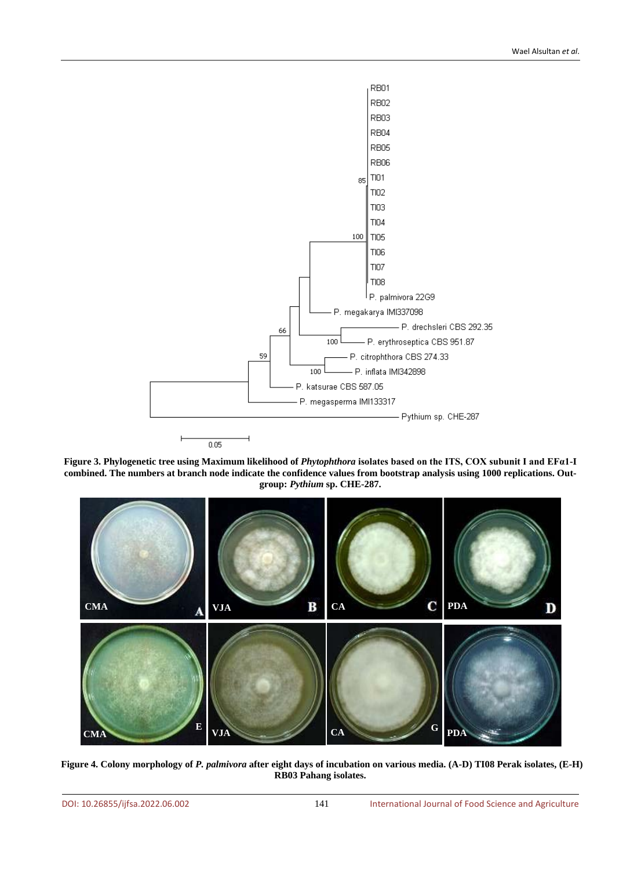

**Figure 3. Phylogenetic tree using Maximum likelihood of** *Phytophthora* **isolates based on the ITS, COX subunit I and EFα1-I combined. The numbers at branch node indicate the confidence values from bootstrap analysis using 1000 replications. Outgroup:** *Pythium* **sp. CHE-287.**



**Figure 4. Colony morphology of** *P. palmivora* **after eight days of incubation on various media. (A-D) TI08 Perak isolates, (E-H) RB03 Pahang isolates.**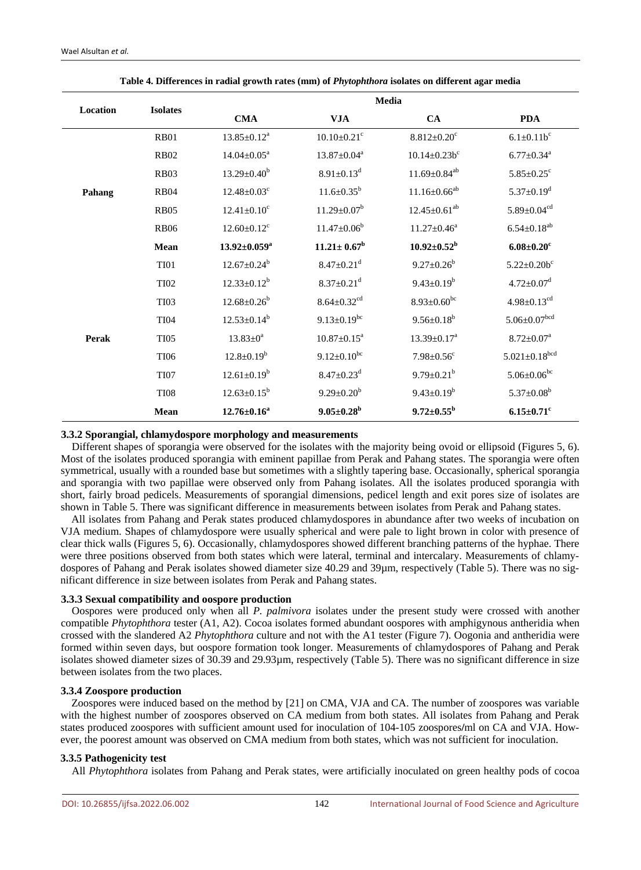|          |                 | Media                         |                               |                               |                                |  |
|----------|-----------------|-------------------------------|-------------------------------|-------------------------------|--------------------------------|--|
| Location | <b>Isolates</b> | <b>CMA</b>                    | <b>VJA</b>                    | <b>CA</b>                     | <b>PDA</b>                     |  |
|          | <b>RB01</b>     | $13.85 \pm 0.12^a$            | $10.10 \pm 0.21$ <sup>c</sup> | $8.812 \pm 0.20$ <sup>c</sup> | $6.1 \pm 0.11b^c$              |  |
|          | <b>RB02</b>     | $14.04 \pm 0.05^a$            | $13.87 \pm 0.04^a$            | $10.14 \pm 0.23 b^c$          | $6.77 \pm 0.34$ <sup>a</sup>   |  |
|          | <b>RB03</b>     | $13.29 \pm 0.40^b$            | $8.91 \pm 0.13$ <sup>d</sup>  | $11.69 \pm 0.84^{ab}$         | $5.85 \pm 0.25$ <sup>c</sup>   |  |
| Pahang   | <b>RB04</b>     | $12.48 \pm 0.03$ <sup>c</sup> | $11.6 \pm 0.35^b$             | $11.16 \pm 0.66^{ab}$         | $5.37 \pm 0.19$ <sup>d</sup>   |  |
|          | <b>RB05</b>     | $12.41 \pm 0.10^c$            | $11.29 \pm 0.07^b$            | $12.45 \pm 0.61^{ab}$         | $5.89 \pm 0.04$ <sup>cd</sup>  |  |
|          | <b>RB06</b>     | $12.60 \pm 0.12$ <sup>c</sup> | $11.47 \pm 0.06^b$            | $11.27 \pm 0.46^a$            | $6.54 \pm 0.18^{ab}$           |  |
|          | Mean            | $13.92 \pm 0.059^a$           | $11.21 \pm 0.67^b$            | $10.92 \pm 0.52^{\rm b}$      | $6.08 \pm 0.20$ <sup>c</sup>   |  |
|          | TI01            | $12.67 \pm 0.24^b$            | $8.47 \pm 0.21$ <sup>d</sup>  | $9.27 \pm 0.26^b$             | $5.22 \pm 0.20b^c$             |  |
|          | <b>TI02</b>     | $12.33 \pm 0.12^b$            | $8.37 \pm 0.21$ <sup>d</sup>  | $9.43 \pm 0.19^b$             | $4.72 \pm 0.07$ <sup>d</sup>   |  |
|          | <b>TI03</b>     | $12.68 \pm 0.26^b$            | $8.64 \pm 0.32$ <sup>cd</sup> | $8.93 \pm 0.60^{bc}$          | $4.98 \pm 0.13$ <sup>cd</sup>  |  |
|          | <b>TI04</b>     | $12.53 \pm 0.14^b$            | $9.13 \pm 0.19$ <sup>bc</sup> | $9.56 \pm 0.18^b$             | $5.06 \pm 0.07$ <sup>bcd</sup> |  |
| Perak    | <b>TI05</b>     | $13.83 \pm 0^a$               | $10.87 \pm 0.15^a$            | $13.39 \pm 0.17^a$            | $8.72 \pm 0.07^a$              |  |
|          | <b>TI06</b>     | $12.8 \pm 0.19^b$             | $9.12 \pm 0.10^{bc}$          | $7.98 \pm 0.56$ c             | $5.021 \pm 0.18^{bcd}$         |  |
|          | <b>TI07</b>     | $12.61 \pm 0.19^b$            | $8.47 \pm 0.23$ <sup>d</sup>  | $9.79 \pm 0.21^b$             | $5.06 \pm 0.06$ <sup>bc</sup>  |  |
|          | <b>TI08</b>     | $12.63 \pm 0.15^b$            | $9.29 \pm 0.20^b$             | $9.43 \pm 0.19^b$             | $5.37 \pm 0.08^b$              |  |
|          | Mean            | $12.76 \pm 0.16^a$            | $9.05 \pm 0.28^{\rm b}$       | $9.72 \pm 0.55^{\rm b}$       | $6.15 \pm 0.71$ <sup>c</sup>   |  |

**Table 4. Differences in radial growth rates (mm) of** *Phytophthora* **isolates on different agar media**

#### **3.3.2 Sporangial, chlamydospore morphology and measurements**

Different shapes of sporangia were observed for the isolates with the majority being ovoid or ellipsoid (Figures 5, 6). Most of the isolates produced sporangia with eminent papillae from Perak and Pahang states. The sporangia were often symmetrical, usually with a rounded base but sometimes with a slightly tapering base. Occasionally, spherical sporangia and sporangia with two papillae were observed only from Pahang isolates. All the isolates produced sporangia with short, fairly broad pedicels. Measurements of sporangial dimensions, pedicel length and exit pores size of isolates are shown in Table 5. There was significant difference in measurements between isolates from Perak and Pahang states.

All isolates from Pahang and Perak states produced chlamydospores in abundance after two weeks of incubation on VJA medium. Shapes of chlamydospore were usually spherical and were pale to light brown in color with presence of clear thick walls (Figures 5, 6). Occasionally, chlamydospores showed different branching patterns of the hyphae. There were three positions observed from both states which were lateral, terminal and intercalary. Measurements of chlamydospores of Pahang and Perak isolates showed diameter size 40.29 and 39µm, respectively (Table 5). There was no significant difference in size between isolates from Perak and Pahang states.

#### **3.3.3 Sexual compatibility and oospore production**

Oospores were produced only when all *P. palmivora* isolates under the present study were crossed with another compatible *Phytophthora* tester (A1, A2). Cocoa isolates formed abundant oospores with amphigynous antheridia when crossed with the slandered A2 *Phytophthora* culture and not with the A1 tester (Figure 7). Oogonia and antheridia were formed within seven days, but oospore formation took longer. Measurements of chlamydospores of Pahang and Perak isolates showed diameter sizes of 30.39 and 29.93µm, respectively (Table 5). There was no significant difference in size between isolates from the two places.

## **3.3.4 Zoospore production**

Zoospores were induced based on the method by [21] on CMA, VJA and CA. The number of zoospores was variable with the highest number of zoospores observed on CA medium from both states. All isolates from Pahang and Perak states produced zoospores with sufficient amount used for inoculation of 104-105 zoospores**/**ml on CA and VJA. However, the poorest amount was observed on CMA medium from both states, which was not sufficient for inoculation.

## **3.3.5 Pathogenicity test**

All *Phytophthora* isolates from Pahang and Perak states, were artificially inoculated on green healthy pods of cocoa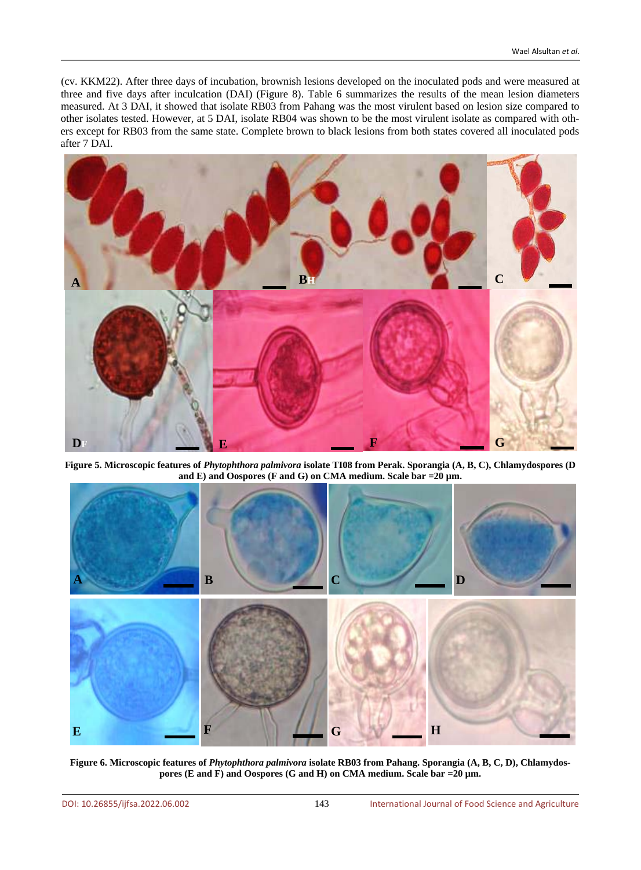(cv. KKM22). After three days of incubation, brownish lesions developed on the inoculated pods and were measured at three and five days after inculcation (DAI) (Figure 8). Table 6 summarizes the results of the mean lesion diameters measured. At 3 DAI, it showed that isolate RB03 from Pahang was the most virulent based on lesion size compared to other isolates tested. However, at 5 DAI, isolate RB04 was shown to be the most virulent isolate as compared with others except for RB03 from the same state. Complete brown to black lesions from both states covered all inoculated pods after 7 DAI.



**Figure 5. Microscopic features of** *Phytophthora palmivora* **isolate TI08 from Perak. Sporangia (A, B, C), Chlamydospores (D and E) and Oospores (F and G) on CMA medium. Scale bar =20 µm.**



**Figure 6. Microscopic features of** *Phytophthora palmivora* **isolate RB03 from Pahang. Sporangia (A, B, C, D), Chlamydospores (E and F) and Oospores (G and H) on CMA medium. Scale bar =20 µm.**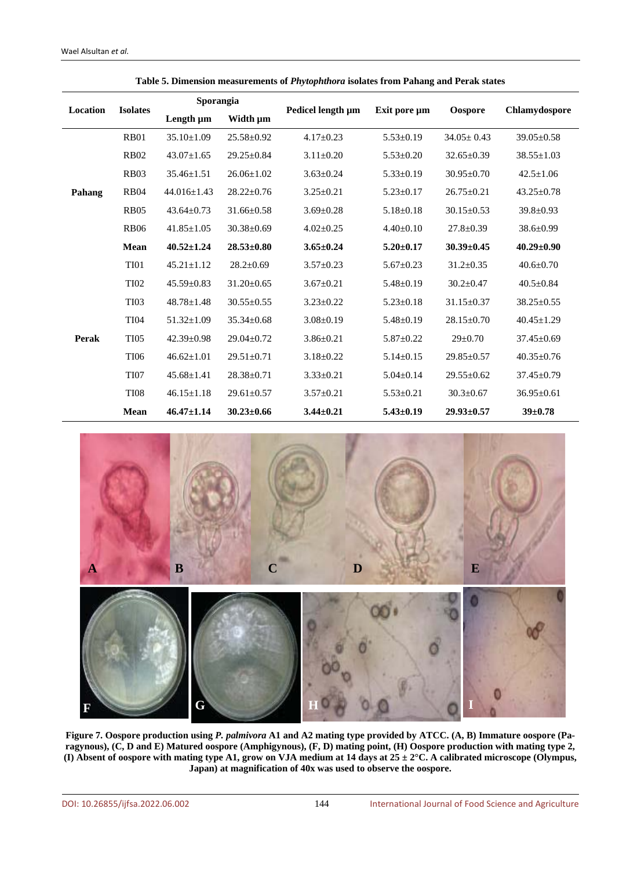| <b>Location</b><br><b>Isolates</b> |             | <b>Sporangia</b>  |                  |                   |                 |                  |                  |  |
|------------------------------------|-------------|-------------------|------------------|-------------------|-----------------|------------------|------------------|--|
|                                    |             | Length µm         | Width µm         | Pedicel length µm | Exit pore um    | Oospore          | Chlamydospore    |  |
|                                    | <b>RB01</b> | $35.10 \pm 1.09$  | $25.58 \pm 0.92$ | $4.17 \pm 0.23$   | $5.53 \pm 0.19$ | $34.05 \pm 0.43$ | $39.05 \pm 0.58$ |  |
|                                    | <b>RB02</b> | $43.07 \pm 1.65$  | $29.25 \pm 0.84$ | $3.11 \pm 0.20$   | $5.53 \pm 0.20$ | $32.65 \pm 0.39$ | $38.55 \pm 1.03$ |  |
|                                    | <b>RB03</b> | $35.46 \pm 1.51$  | $26.06 \pm 1.02$ | $3.63 \pm 0.24$   | $5.33 \pm 0.19$ | $30.95 \pm 0.70$ | $42.5 \pm 1.06$  |  |
| Pahang                             | <b>RB04</b> | $44.016 \pm 1.43$ | $28.22 \pm 0.76$ | $3.25 \pm 0.21$   | $5.23 \pm 0.17$ | $26.75 \pm 0.21$ | $43.25 \pm 0.78$ |  |
|                                    | <b>RB05</b> | $43.64 \pm 0.73$  | $31.66 \pm 0.58$ | $3.69 \pm 0.28$   | $5.18 \pm 0.18$ | $30.15 \pm 0.53$ | $39.8 \pm 0.93$  |  |
|                                    | <b>RB06</b> | $41.85 \pm 1.05$  | $30.38 \pm 0.69$ | $4.02 \pm 0.25$   | $4.40 \pm 0.10$ | $27.8 \pm 0.39$  | 38.6±0.99        |  |
|                                    | Mean        | $40.52 \pm 1.24$  | $28.53 \pm 0.80$ | $3.65 \pm 0.24$   | $5.20 \pm 0.17$ | $30.39 \pm 0.45$ | $40.29 \pm 0.90$ |  |
|                                    | <b>TI01</b> | $45.21 \pm 1.12$  | $28.2 \pm 0.69$  | $3.57 \pm 0.23$   | $5.67 \pm 0.23$ | $31.2 \pm 0.35$  | $40.6 \pm 0.70$  |  |
|                                    | <b>TI02</b> | $45.59 \pm 0.83$  | $31.20 \pm 0.65$ | $3.67 \pm 0.21$   | $5.48 \pm 0.19$ | $30.2 \pm 0.47$  | $40.5 \pm 0.84$  |  |
|                                    | <b>TI03</b> | $48.78 \pm 1.48$  | $30.55 \pm 0.55$ | $3.23 \pm 0.22$   | $5.23 \pm 0.18$ | $31.15 \pm 0.37$ | $38.25 \pm 0.55$ |  |
|                                    | <b>TI04</b> | $51.32 \pm 1.09$  | $35.34 \pm 0.68$ | $3.08 \pm 0.19$   | $5.48 \pm 0.19$ | $28.15 \pm 0.70$ | $40.45 \pm 1.29$ |  |
| Perak                              | <b>TI05</b> | $42.39 \pm 0.98$  | $29.04 \pm 0.72$ | $3.86 \pm 0.21$   | $5.87 \pm 0.22$ | $29 \pm 0.70$    | $37.45 \pm 0.69$ |  |
|                                    | <b>TI06</b> | $46.62 \pm 1.01$  | $29.51 \pm 0.71$ | $3.18 \pm 0.22$   | $5.14 \pm 0.15$ | $29.85 \pm 0.57$ | $40.35 \pm 0.76$ |  |
|                                    | <b>TI07</b> | $45.68 \pm 1.41$  | $28.38 \pm 0.71$ | $3.33 \pm 0.21$   | $5.04 \pm 0.14$ | $29.55 \pm 0.62$ | $37.45 \pm 0.79$ |  |
|                                    | <b>TI08</b> | $46.15 \pm 1.18$  | $29.61 \pm 0.57$ | $3.57 \pm 0.21$   | $5.53 \pm 0.21$ | $30.3 \pm 0.67$  | $36.95 \pm 0.61$ |  |
|                                    | Mean        | $46.47 \pm 1.14$  | $30.23 \pm 0.66$ | $3.44 \pm 0.21$   | $5.43 \pm 0.19$ | $29.93 \pm 0.57$ | $39 \pm 0.78$    |  |

**Table 5. Dimension measurements of** *Phytophthora* **isolates from Pahang and Perak states**



**Figure 7. Oospore production using** *P. palmivora* **A1 and A2 mating type provided by ATCC. (A, B) Immature oospore (Paragynous), (C, D and E) Matured oospore (Amphigynous), (F, D) mating point, (H) Oospore production with mating type 2, (I) Absent of oospore with mating type A1, grow on VJA medium at 14 days at 25 ± 2°C. A calibrated microscope (Olympus, Japan) at magnification of 40x was used to observe the oospore.**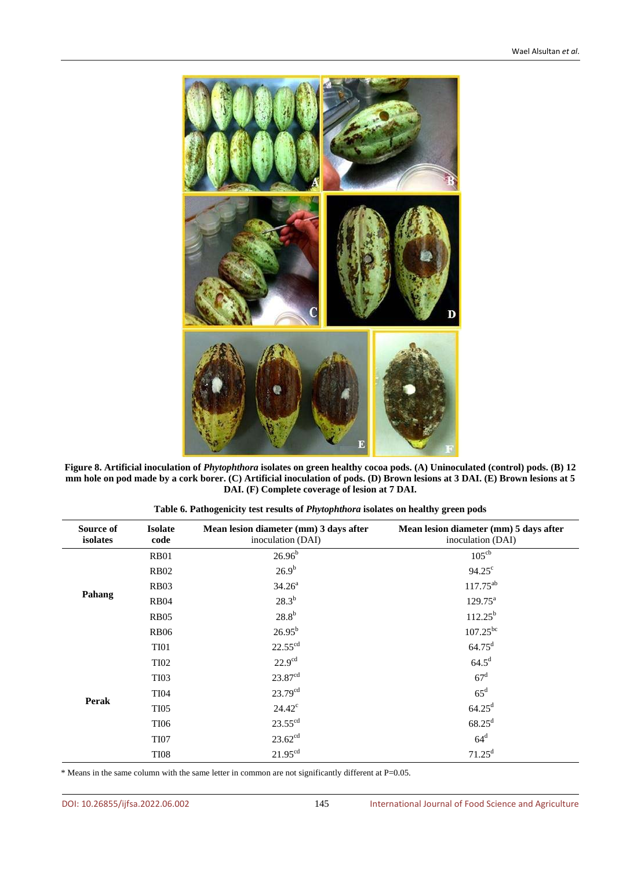

**Figure 8. Artificial inoculation of** *Phytophthora* **isolates on green healthy cocoa pods. (A) Uninoculated (control) pods. (B) 12 mm hole on pod made by a cork borer. (C) Artificial inoculation of pods. (D) Brown lesions at 3 DAI. (E) Brown lesions at 5 DAI. (F) Complete coverage of lesion at 7 DAI.**

| Source of<br>isolates | <b>Isolate</b><br>code | Mean lesion diameter (mm) 3 days after<br>inoculation (DAI) | Mean lesion diameter (mm) 5 days after<br>inoculation (DAI) |
|-----------------------|------------------------|-------------------------------------------------------------|-------------------------------------------------------------|
|                       | <b>RB01</b>            | $26.96^{b}$                                                 | 105 <sup>cb</sup>                                           |
|                       | <b>RB02</b>            | $26.9^{b}$                                                  | $94.25^{\circ}$                                             |
|                       | <b>RB03</b>            | $34.26^a$                                                   | $117.75^{ab}$                                               |
| Pahang                | <b>RB04</b>            | $28.3^{b}$                                                  | $129.75^{\text{a}}$                                         |
|                       | <b>RB05</b>            | $28.8^b$                                                    | $112.25^{b}$                                                |
|                       | <b>RB06</b>            | $26.95^{b}$                                                 | $107.25^{bc}$                                               |
|                       | TI01                   | $22.55^{\text{cd}}$                                         | $64.75^{\rm d}$                                             |
|                       | <b>TI02</b>            | 22.9 <sup>cd</sup>                                          | $64.5^{\mathrm{d}}$                                         |
|                       | <b>TI03</b>            | 23.87cd                                                     | 67 <sup>d</sup>                                             |
|                       | <b>TI04</b>            | $23.79^{cd}$                                                | $65^{\rm d}$                                                |
| Perak                 | <b>TI05</b>            | $24.42^{\circ}$                                             | $64.25^{\rm d}$                                             |
|                       | <b>TI06</b>            | $23.55$ <sup>cd</sup>                                       | $68.25^{\rm d}$                                             |
|                       | <b>TI07</b>            | $23.62^{cd}$                                                | $64^d$                                                      |
|                       | <b>TI08</b>            | 21.95 <sup>cd</sup>                                         | $71.25^d$                                                   |

**Table 6. Pathogenicity test results of** *Phytophthora* **isolates on healthy green pods**

\* Means in the same column with the same letter in common are not significantly different at P=0.05.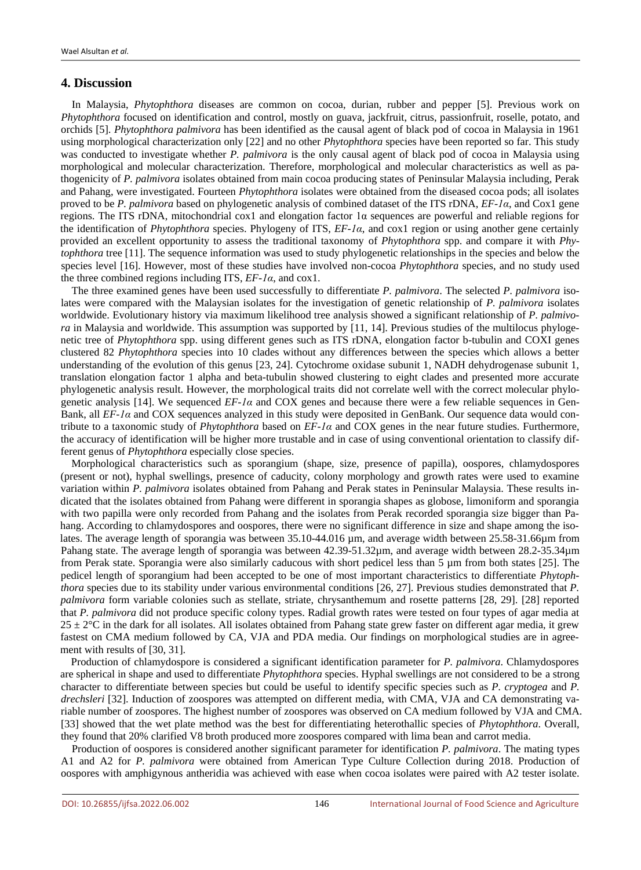## **4. Discussion**

In Malaysia, *Phytophthora* diseases are common on cocoa, durian, rubber and pepper [5]. Previous work on *Phytophthora* focused on identification and control, mostly on guava, jackfruit, citrus, passionfruit, roselle, potato, and orchids [5]. *Phytophthora palmivora* has been identified as the causal agent of black pod of cocoa in Malaysia in 1961 using morphological characterization only [22] and no other *Phytophthora* species have been reported so far. This study was conducted to investigate whether *P. palmivora* is the only causal agent of black pod of cocoa in Malaysia using morphological and molecular characterization. Therefore, morphological and molecular characteristics as well as pathogenicity of *P. palmivora* isolates obtained from main cocoa producing states of Peninsular Malaysia including, Perak and Pahang, were investigated. Fourteen *Phytophthora* isolates were obtained from the diseased cocoa pods; all isolates proved to be *P. palmivora* based on phylogenetic analysis of combined dataset of the ITS rDNA, *EF-1α*, and Cox1 gene regions. The ITS rDNA, mitochondrial cox1 and elongation factor 1α sequences are powerful and reliable regions for the identification of *Phytophthora* species. Phylogeny of ITS, *EF-1α*, and cox1 region or using another gene certainly provided an excellent opportunity to assess the traditional taxonomy of *Phytophthora* spp. and compare it with *Phytophthora* tree [11]. The sequence information was used to study phylogenetic relationships in the species and below the species level [16]. However, most of these studies have involved non-cocoa *Phytophthora* species, and no study used the three combined regions including ITS, *EF-1α*, and cox1.

The three examined genes have been used successfully to differentiate *P. palmivora*. The selected *P. palmivora* isolates were compared with the Malaysian isolates for the investigation of genetic relationship of *P. palmivora* isolates worldwide. Evolutionary history via maximum likelihood tree analysis showed a significant relationship of *P. palmivora* in Malaysia and worldwide. This assumption was supported by [11, 14]. Previous studies of the multilocus phylogenetic tree of *Phytophthora* spp. using different genes such as ITS rDNA, elongation factor b-tubulin and COXI genes clustered 82 *Phytophthora* species into 10 clades without any differences between the species which allows a better understanding of the evolution of this genus [23, 24]. Cytochrome oxidase subunit 1, NADH dehydrogenase subunit 1, translation elongation factor 1 alpha and beta-tubulin showed clustering to eight clades and presented more accurate phylogenetic analysis result. However, the morphological traits did not correlate well with the correct molecular phylogenetic analysis [14]. We sequenced *EF-1α* and COX genes and because there were a few reliable sequences in Gen-Bank, all *EF-1α* and COX sequences analyzed in this study were deposited in GenBank. Our sequence data would contribute to a taxonomic study of *Phytophthora* based on *EF-1α* and COX genes in the near future studies. Furthermore, the accuracy of identification will be higher more trustable and in case of using conventional orientation to classify different genus of *Phytophthora* especially close species.

Morphological characteristics such as sporangium (shape, size, presence of papilla), oospores, chlamydospores (present or not), hyphal swellings, presence of caducity, colony morphology and growth rates were used to examine variation within *P. palmivora* isolates obtained from Pahang and Perak states in Peninsular Malaysia. These results indicated that the isolates obtained from Pahang were different in sporangia shapes as globose, limoniform and sporangia with two papilla were only recorded from Pahang and the isolates from Perak recorded sporangia size bigger than Pahang. According to chlamydospores and oospores, there were no significant difference in size and shape among the isolates. The average length of sporangia was between 35.10-44.016 µm, and average width between 25.58-31.66µm from Pahang state. The average length of sporangia was between 42.39-51.32µm, and average width between 28.2-35.34µm from Perak state. Sporangia were also similarly caducous with short pedicel less than 5 µm from both states [25]. The pedicel length of sporangium had been accepted to be one of most important characteristics to differentiate *Phytophthora* species due to its stability under various environmental conditions [26, 27]. Previous studies demonstrated that *P. palmivora* form variable colonies such as stellate, striate, chrysanthemum and rosette patterns [28, 29]. [28] reported that *P. palmivora* did not produce specific colony types. Radial growth rates were tested on four types of agar media at  $25 \pm 2$ °C in the dark for all isolates. All isolates obtained from Pahang state grew faster on different agar media, it grew fastest on CMA medium followed by CA, VJA and PDA media. Our findings on morphological studies are in agreement with results of [30, 31].

Production of chlamydospore is considered a significant identification parameter for *P. palmivora*. Chlamydospores are spherical in shape and used to differentiate *Phytophthora* species. Hyphal swellings are not considered to be a strong character to differentiate between species but could be useful to identify specific species such as *P. cryptogea* and *P. drechsleri* [32]. Induction of zoospores was attempted on different media, with CMA, VJA and CA demonstrating variable number of zoospores. The highest number of zoospores was observed on CA medium followed by VJA and CMA. [33] showed that the wet plate method was the best for differentiating heterothallic species of *Phytophthora*. Overall, they found that 20% clarified V8 broth produced more zoospores compared with lima bean and carrot media.

Production of oospores is considered another significant parameter for identification *P. palmivora*. The mating types A1 and A2 for *P. palmivora* were obtained from American Type Culture Collection during 2018. Production of oospores with amphigynous antheridia was achieved with ease when cocoa isolates were paired with A2 tester isolate.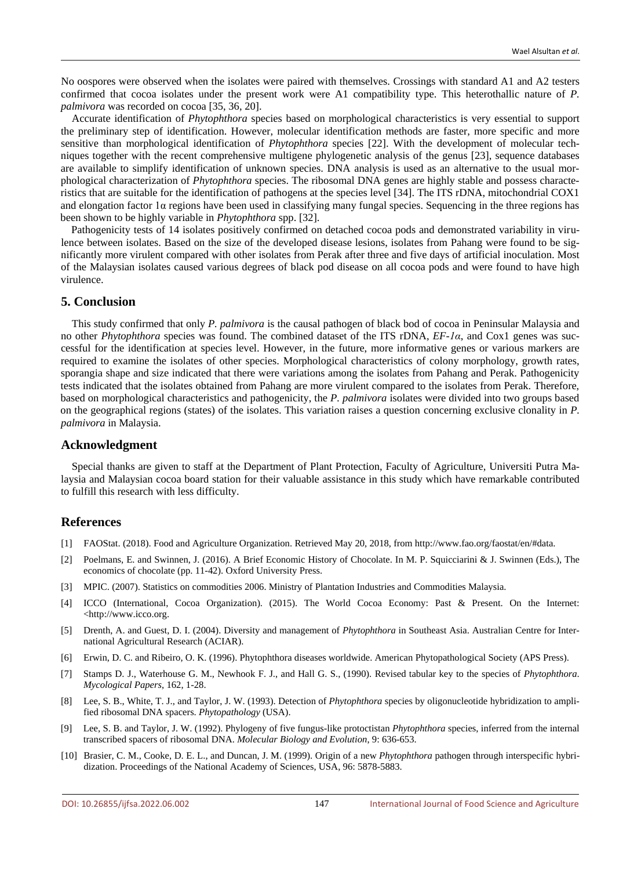No oospores were observed when the isolates were paired with themselves. Crossings with standard A1 and A2 testers confirmed that cocoa isolates under the present work were A1 compatibility type. This heterothallic nature of *P. palmivora* was recorded on cocoa [35, 36, 20].

Accurate identification of *Phytophthora* species based on morphological characteristics is very essential to support the preliminary step of identification. However, molecular identification methods are faster, more specific and more sensitive than morphological identification of *Phytophthora* species [22]. With the development of molecular techniques together with the recent comprehensive multigene phylogenetic analysis of the genus [23], sequence databases are available to simplify identification of unknown species. DNA analysis is used as an alternative to the usual morphological characterization of *Phytophthora* species. The ribosomal DNA genes are highly stable and possess characteristics that are suitable for the identification of pathogens at the species level [34]. The ITS rDNA, mitochondrial COX1 and elongation factor  $1\alpha$  regions have been used in classifying many fungal species. Sequencing in the three regions has been shown to be highly variable in *Phytophthora* spp. [32].

Pathogenicity tests of 14 isolates positively confirmed on detached cocoa pods and demonstrated variability in virulence between isolates. Based on the size of the developed disease lesions, isolates from Pahang were found to be significantly more virulent compared with other isolates from Perak after three and five days of artificial inoculation. Most of the Malaysian isolates caused various degrees of black pod disease on all cocoa pods and were found to have high virulence.

## **5. Conclusion**

This study confirmed that only *P. palmivora* is the causal pathogen of black bod of cocoa in Peninsular Malaysia and no other *Phytophthora* species was found. The combined dataset of the ITS rDNA, *EF-1α*, and Cox1 genes was successful for the identification at species level. However, in the future, more informative genes or various markers are required to examine the isolates of other species. Morphological characteristics of colony morphology, growth rates, sporangia shape and size indicated that there were variations among the isolates from Pahang and Perak. Pathogenicity tests indicated that the isolates obtained from Pahang are more virulent compared to the isolates from Perak. Therefore, based on morphological characteristics and pathogenicity, the *P. palmivora* isolates were divided into two groups based on the geographical regions (states) of the isolates. This variation raises a question concerning exclusive clonality in *P. palmivora* in Malaysia.

## **Acknowledgment**

Special thanks are given to staff at the Department of Plant Protection, Faculty of Agriculture, Universiti Putra Malaysia and Malaysian cocoa board station for their valuable assistance in this study which have remarkable contributed to fulfill this research with less difficulty.

## **References**

- [1] FAOStat. (2018). Food and Agriculture Organization. Retrieved May 20, 2018, from http://www.fao.org/faostat/en/#data.
- [2] Poelmans, E. and Swinnen, J. (2016). A Brief Economic History of Chocolate. In M. P. Squicciarini & J. Swinnen (Eds.), The economics of chocolate (pp. 11-42). Oxford University Press.
- [3] MPIC. (2007). Statistics on commodities 2006. Ministry of Plantation Industries and Commodities Malaysia.
- [4] ICCO (International, Cocoa Organization). (2015). The World Cocoa Economy: Past & Present. On the Internet: <http://www.icco.org.
- [5] Drenth, A. and Guest, D. I. (2004). Diversity and management of *Phytophthora* in Southeast Asia. Australian Centre for International Agricultural Research (ACIAR).
- [6] Erwin, D. C. and Ribeiro, O. K. (1996). Phytophthora diseases worldwide. American Phytopathological Society (APS Press).
- [7] Stamps D. J., Waterhouse G. M., Newhook F. J., and Hall G. S., (1990). Revised tabular key to the species of *Phytophthora*. *Mycological Papers*, 162, 1-28.
- [8] Lee, S. B., White, T. J., and Taylor, J. W. (1993). Detection of *Phytophthora* species by oligonucleotide hybridization to amplified ribosomal DNA spacers. *Phytopathology* (USA).
- [9] Lee, S. B. and Taylor, J. W. (1992). Phylogeny of five fungus-like protoctistan *Phytophthora* species, inferred from the internal transcribed spacers of ribosomal DNA. *Molecular Biology and Evolution*, 9: 636-653.
- [10] Brasier, C. M., Cooke, D. E. L., and Duncan, J. M. (1999). Origin of a new *Phytophthora* pathogen through interspecific hybridization. Proceedings of the National Academy of Sciences, USA, 96: 5878-5883.